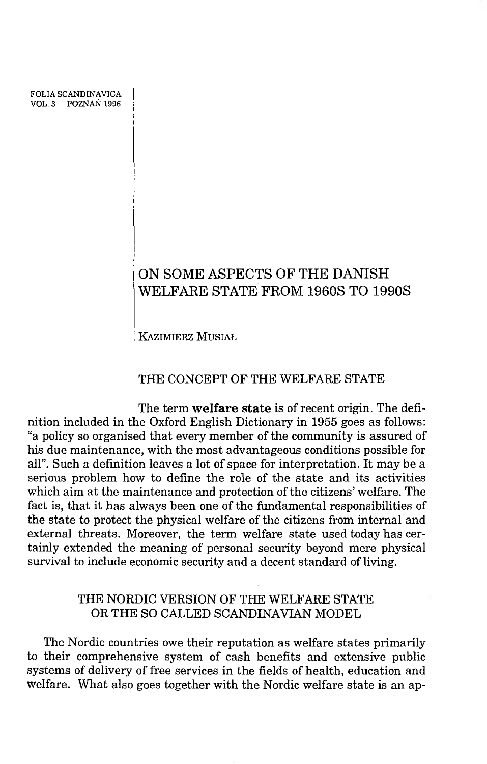FOLIA SCANDINAVICA VOL. 3 POZNAŃ 1996

# **ON SOME ASPECTS OF THE DANISH WELFARE STATE FROM 1960S TO 1990S**

KAZIMIERZ MUSIAŁ

### THE CONCEPT OF THE WELFARE STATE

The term welfare state is of recent origin. The definition included in the Oxford English Dictionary in 1955 goes as follows: "a policy so organised that every member of the community is assured of his due maintenance, with the most advantageous conditions possible for all". Such a definition leaves a lot of space for interpretation. It may be a serious problem how to define the role of the state and its activities which aim at the maintenance and protection of the citizens' welfare. The fact is, that it has always been one of the fundamental responsibilities of the state to protect the physical welfare of the citizens from internal and external threats. Moreover, the term welfare state used today has certainly extended the meaning of personal security beyond mere physical survival to include economic security and a decent standard of living.

# THE NORDIC VERSION OF THE WELFARE STATE OR THE SO CALLED SCANDINAVIAN MODEL

The Nordic countries owe their reputation as welfare states primarily to their comprehensive system of cash benefits and extensive public systems of delivery of free services in the fields of health, education and welfare. What also goes together with the Nordic welfare state is an ap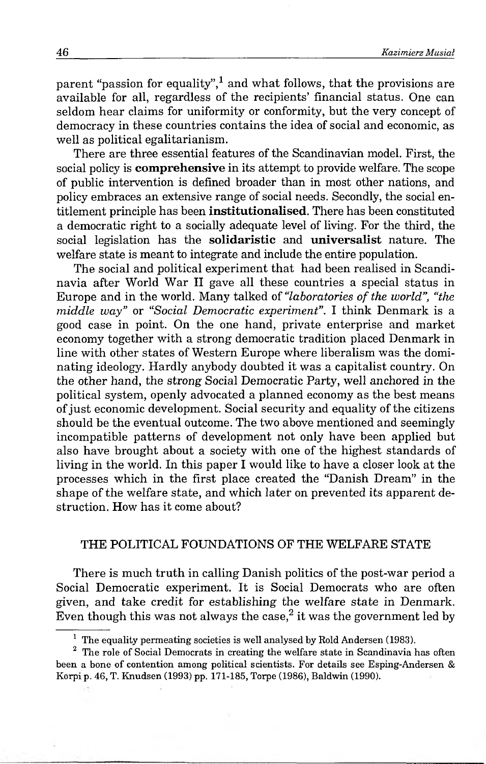parent "passion for equality",<sup>1</sup> and what follows, that the provisions are available for all, regardless of the recipients' financial status. One can seldom hear claims for uniformity or conformity, but the very concept of democracy in these countries contains the idea of social and economic, as well as political egalitarianism.

There are three essential features of the Scandinavian model. First, the social policy is **comprehensive** in its attempt to provide welfare. The scope of public intervention is defined broader than in most other nations, and policy embraces an extensive range of social needs. Secondly, the social entitlement principle has been **institutionalised**. There has been constituted a democratic right to a socially adequate level of living. For the third, the social legislation has the solidaristic and universalist nature. The welfare state is meant to integrate and include the entire population.

The social and political experiment that had been realised in Scandinavia after World War II gave all these countries a special status in Europe and in the world. Many talked of *"laboratories of the world", "the middle way"* or *"Social Democratic experiment".* I think Denmark is a good case in point. On the one hand, private enterprise and market economy together with a strong democratic tradition placed Denmark in line with other states of Western Europe where liberalism was the dominating ideology. Hardly anybody doubted it was a capitalist country. On the other hand, the strong Social Democratic Party, well anchored in the political system, openly advocated a planned economy as the best means of just economic development. Social security and equality of the citizens should be the eventual outcome. The two above mentioned and seemingly incompatible patterns of development not only have been applied but also have brought about a society with one of the highest standards of living in the world. In this paper I would like to have a closer look at the processes which in the first place created the "Danish Dream" in the shape of the welfare state, and which later on prevented its apparent destruction. How has it come about?

### THE POLITICAL FOUNDATIONS OF THE WELFARE STATE

There is much truth in calling Danish politics of the post-war period a Social Democratic experiment. It is Social Democrats who are often given, and take credit for establishing the welfare state in Denmark. Even though this was not always the case,  $2$  it was the government led by

 $1$  The equality permeating societies is well analysed by Rold Andersen (1983).

<sup>&</sup>lt;sup>2</sup> The role of Social Democrats in creating the welfare state in Scandinavia has often been a bone of contention among political scientists. For details see Esping-Andersen & Korpi p. 46, T. Knudsen (1993) pp. 171-185, Torpe (1986), Baldwin (1990).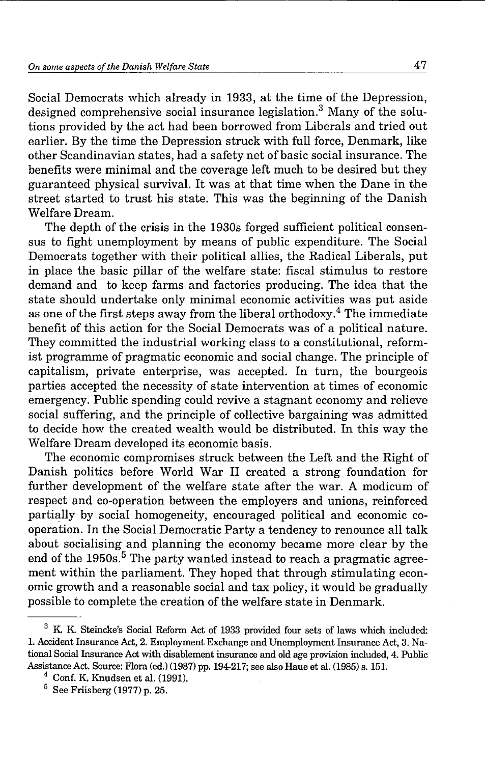Social Democrats which already in 1933, at the time of the Depression, designed comprehensive social insurance legislation.3 Many of the solutions provided by the act had been borrowed from Liberals and tried out earlier. By the time the Depression struck with full force, Denmark, like other Scandinavian states, had a safety net of basic social insurance. The benefits were minimal and the coverage left much to be desired but they guaranteed physical survival. It was at that time when the Dane in the street started to trust his state. This was the beginning of the Danish Welfare Dream.

The depth of the crisis in the 1930s forged sufficient political consensus to fight unemployment by means of public expenditure. The Social Democrats together with their political allies, the Radical Liberals, put in place the basic pillar of the welfare state: fiscal stimulus to restore demand and to keep farms and factories producing. The idea that the state should undertake only minimal economic activities was put aside as one of the first steps away from the liberal orthodoxy.<sup>4</sup> The immediate benefit of this action for the Social Democrats was of a political nature. They committed the industrial working class to a constitutional, reformist programme of pragmatic economic and social change. The principle of capitalism, private enterprise, was accepted. In turn, the bourgeois parties accepted the necessity of state intervention at times of economic emergency. Public spending could revive a stagnant economy and relieve social suffering, and the principle of collective bargaining was admitted to decide how the created wealth would be distributed. In this way the Welfare Dream developed its economic basis.

The economic compromises struck between the Left and the Right of Danish politics before World War II created a strong foundation for further development of the welfare state after the war. A modicum of respect and co-operation between the employers and unions, reinforced partially by social homogeneity, encouraged political and economic cooperation. In the Social Democratic Party a tendency to renounce all talk about socialising and planning the economy became more clear by the end of the  $1950s$ .<sup>5</sup> The party wanted instead to reach a pragmatic agreement within the parliament. They hoped that through stimulating economic growth and a reasonable social and tax policy, it would be gradually possible to complete the creation of the welfare state in Denmark.

<sup>&</sup>lt;sup>3</sup> K. K. Steincke's Social Reform Act of 1933 provided four sets of laws which included: 1. Accident Insurance Act, 2. Employment Exchange and Unemployment Insurance Act, 3. National Social Insurance Act with disablement insurance and old age provision included, 4. Public Assistance Act. Source: Flora (ed.) (1987) pp. 194-217; see also Haue et al. (1985) s. 151.

 $4$  Conf. K. Knudsen et al. (1991).

 $5$  See Friisberg (1977) p. 25.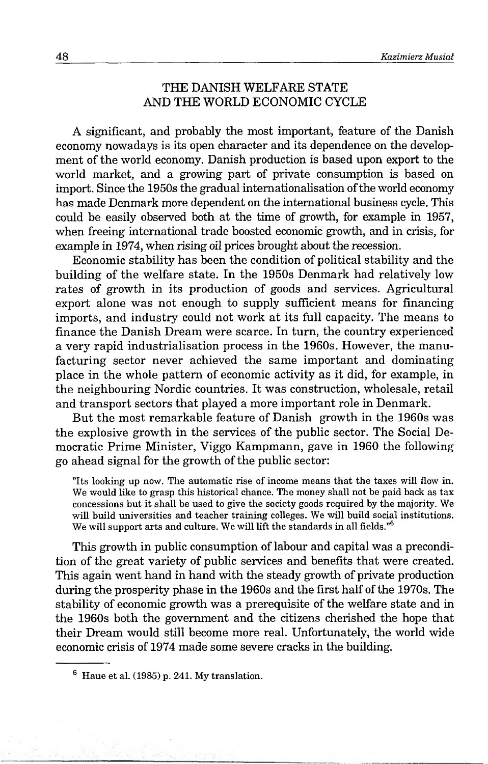# THE DANISH WELFARE STATE AND THE WORLD ECONOMIC CYCLE

A significant, and probably the most important, feature of the Danish economy nowadays is its open character and its dependence on the development of the world economy. Danish production is based upon export to the world market, and a growing part of private consumption is based on import. Since the 1950s the gradual internationalisation of the world economy has made Denmark more dependent on the international business cycle. This could be easily observed both at the time of growth, for example in 1957, when freeing international trade boosted economic growth, and in crisis, for example in 1974, when rising oil prices brought about the recession.

Economic stability has been the condition of political stability and the building of the welfare state. In the 1950s Denmark had relatively low rates of growth in its production of goods and services. Agricultural export alone was not enough to supply sufficient means for financing imports, and industry could not work at its full capacity. The means to finance the Danish Dream were scarce. In turn, the country experienced a very rapid industrialisation process in the 1960s. However, the manufacturing sector never achieved the same important and dominating place in the whole pattern of economic activity as it did, for example, in the neighbouring Nordic countries. It was construction, wholesale, retail and transport sectors that played a more important role in Denmark.

But the most remarkable feature of Danish growth in the 1960s was the explosive growth in the services of the public sector. The Social Democratic Prime Minister, Viggo Kampmann, gave in 1960 the following go ahead signal for the growth of the public sector:

''Its looking up now. The automatic rise of income means that the taxes will flow in. We would like to grasp this historical chance. The money shall not be paid back as tax concessions but it shall be used to give the society goods required by the majority. We will build universities and teacher training colleges. We will build social institutions. We will support arts and culture. We will lift the standards in all fields."<sup>6</sup>

This growth in public consumption of labour and capital was a precondition of the great variety of public services and benefits that were created. This again went hand in hand with the steady growth of private production during the prosperity phase in the 1960s and the first half of the 1970s. The stability of economic growth was a prerequisite of the welfare state and in the 1960s both the government and the citizens cherished the hope that their Dream would still become more real. Unfortunately, the world wide economic crisis of 1974 made some severe cracks in the building.

<sup>6</sup> Haue et al. (1985) p. 241. My translation.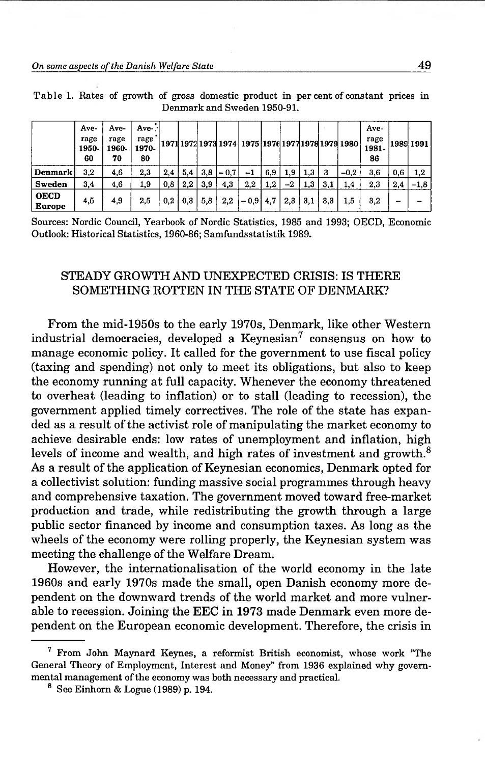|                              | Ave-<br>rage<br>1950-<br>60 | Ave-<br>rage<br>1960-<br>70 | Ave-<br>rage<br>1970-<br>80 |     |     |     |        | 1971 1972 1973 1974   1975   1976 1977 1978 1979 1980 |     |     |     |     |        | Ave-<br>rage<br>1981-<br>86 |     | 1989 1991 |
|------------------------------|-----------------------------|-----------------------------|-----------------------------|-----|-----|-----|--------|-------------------------------------------------------|-----|-----|-----|-----|--------|-----------------------------|-----|-----------|
| <b>Denmark</b>               | 3,2                         | 4,6                         | 2,3                         | 2,4 | 5,4 | 3,8 | $-0,7$ | -1                                                    | 6,9 | 1,9 | 1,3 |     | $-0.2$ | 3,6                         | 0,6 | 1,2       |
| Sweden                       | 3,4                         | 4,6                         | 1,9                         | 0,8 | 2.2 | 3.9 | 4,3    | 2,2                                                   | 1,2 | -2  | 1,3 | 3,1 | 1,4    | 2,3                         | 2,4 | $-1,8$    |
| <b>OECD</b><br><b>Europe</b> | 4,5                         | 4,9                         | 2,5                         | 0,2 | 0,3 | 5,8 | 2,2    | $-0.9$                                                | 4,7 | 2,3 | 3,1 | 3.3 | 1.5    | 3,2                         | -   |           |

T able 1. Rates of growth of gross domestic product in per cent of constant prices in Denmark and Sweden 1950-91.

Sources: Nordic Council, Yearbook of Nordic Statistics, 1985 and 1993; OECD, Economic Outlook: Historical Statistics, 1960-86; Samfundsstatistik 1989.

# STEADY GROWTH AND UNEXPECTED CRISIS: IS THERE SOMETHING ROTTEN IN THE STATE OF DENMARK?

From the mid-1950s to the early 1970s, Denmark, like other Western industrial democracies, developed a  $Keynesian<sup>7</sup>$  consensus on how to manage economic policy. It called for the government to use fiscal policy (taxing and spending) not only to meet its obligations, but also to keep the economy running at full capacity. Whenever the economy threatened to overheat (leading to inflation) or to stall (leading to recession), the government applied timely correctives. The role of the state has expanded as a result of the activist role of manipulating the market economy to achieve desirable ends: low rates of unemployment and inflation, high levels of income and wealth, and high rates of investment and growth.<sup>8</sup> As a result of the application of Keynesian economics, Denmark opted for a collectivist solution: funding massive social programmes through heavy and comprehensive taxation. The government moved toward free-market production and trade, while redistributing the growth through a large public sector financed by income and consumption taxes. As long as the wheels of the economy were rolling properly, the Keynesian system was meeting the challenge of the Welfare Dream.

However, the internationalisation of the world economy in the late 1960s and early 1970s made the small, open Danish economy more dependent on the downward trends of the world market and more vulnerable to recession. Joining the EEC in 1973 made Denmark even more dependent on the European economic development. Therefore, the crisis in

<sup>7</sup> From John Maynard Keynes, a reformist British economist, whose work ''The General Theory of Employment, Interest and Money" from 1936 explained why governmental management of the economy was both necessary and practical.

 $8$  See Einhorn & Logue (1989) p. 194.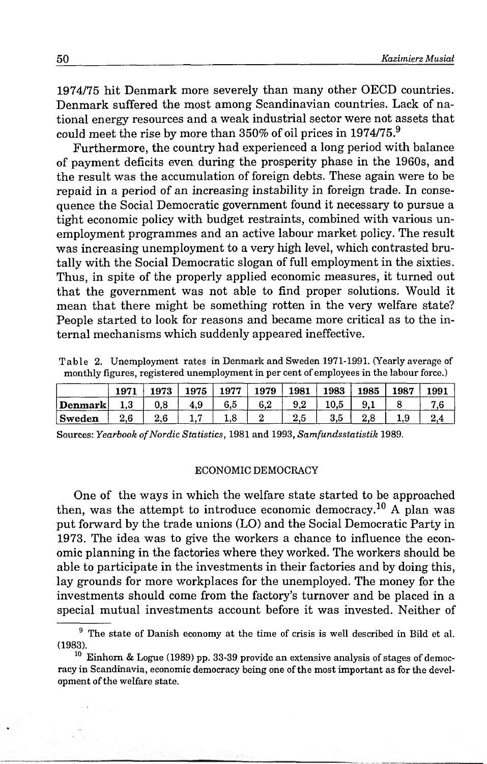1974/75 hit Denmark more severely than many other OECD countries. Denmark suffered the most among Scandinavian countries. Lack of national energy resources and a weak industrial sector were not assets that could meet the rise by more than  $350\%$  of oil prices in  $1974/75.9$ 

Furthermore, the country had experienced a long period with balance of payment deficits even during the prosperity phase in the 1960s, and the result was the accumulation of foreign debts. These again were to be repaid in a period of an increasing instability in foreign trade. In consequence the Social Democratic government found it necessary to pursue a tight economic policy with budget restraints, combined with various unemployment programmes and an active labour market policy. The result was increasing unemployment to a very high level, which contrasted brutally with the Social Democratic slogan of full employment in the sixties. Thus, in spite of the properly applied economic measures, it turned out that the government was not able to find proper solutions. Would it mean that there might be something rotten in the very welfare state? People started to look for reasons and became more critical as to the internal mechanisms which suddenly appeared ineffective.

Table 2. Unemployment rates in Denmark and Sweden 1971-1991. (Yearly average of monthly figures, registered unemployment in per cent of employees in the labour force.)

|                | 1971 | 1973     | 1975 | 1977 | 1979 | 1981 | 1983 | 1985       | 1987 | 1991 |
|----------------|------|----------|------|------|------|------|------|------------|------|------|
| Denmark        |      | $_{0.8}$ | 4.9  | ხ.მ  | 0.Z  | 9.2  | 10.D | - 9. -     |      |      |
| $\vert$ Sweden | ى.   | 2.6      |      | ⊥.∪  |      | ن.ء  | o.u  | $\epsilon$ | ن.   |      |

Sources: *Yearbook of Nordic Statistics*, 1981 and 1993, *Samfundsstatistik* 1989.

#### ECONOMIC DEMOCRACY

One of the ways in which the welfare state started to be approached then, was the attempt to introduce economic democracy.<sup>10</sup> A plan was put forward by the trade unions (LO) and the Social Democratic Party in 1973. The idea was to give the workers a chance to influence the economic planning in the factories where they worked. The workers should be able to participate in the investments in their factories and by doing this, lay grounds for more workplaces for the unemployed. The money for the investments should come from the factory's turnover and be placed in a special mutual investments account before it was invested. Neither of

<sup>&</sup>lt;sup>9</sup> The state of Danish economy at the time of crisis is well described in Bild et al. (1983).

 $10$  Einhorn & Logue (1989) pp. 33-39 provide an extensive analysis of stages of democracy in Scandinavia, economic democracy being one of the most important as for the development of the welfare state.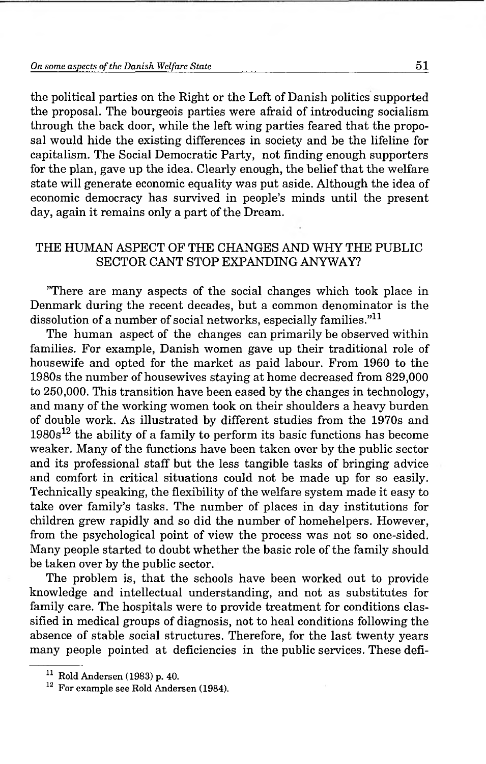the political parties on the Right or the Left of Danish politics supported the proposal. The bourgeois parties were afraid of introducing socialism through the back door, while the left wing parties feared that the proposal would hide the existing differences in society and be the lifeline for capitalism. The Social Democratic Party, not finding enough supporters for the plan, gave up the idea. Clearly enough, the belief that the welfare state will generate economic equality was put aside. Although the idea of economic democracy has survived in people's minds until the present day, again it remains only a part of the Dream.

# THE HUMAN ASPECT OF THE CHANGES AND WHY THE PUBLIC SECTOR CANT STOP EXPANDING ANYWAY?

''There are many aspects of the social changes which took place in Denmark during the recent decades, but a common denominator is the dissolution of a number of social networks, especially families."<sup>11</sup>

The human aspect of the changes can primarily be observed within families. For example, Danish women gave up their traditional role of housewife and opted for the market as paid labour. From 1960 to the 1980s the number of housewives staying at home decreased from 829,000 to 250,000. This transition have been eased by the changes in technology, and many of the working women took on their shoulders a heavy burden of double work. As illustrated by different studies from the 1970s and  $1980s^{12}$  the ability of a family to perform its basic functions has become weaker. Many of the functions have been taken over by the public sector and its professional staff but the less tangible tasks of bringing advice and comfort in critical situations could not be made up for so easily. Technically speaking, the flexibility of the welfare system made it easy to take over family's tasks. The number of places in day institutions for children grew rapidly and so did the number of homehelpers. However, from the psychological point of view the process was not so one-sided. Many people started to doubt whether the basic role of the family should be taken over by the public sector.

The problem is, that the schools have been worked out to provide knowledge and intellectual understanding, and not as substitutes for family care. The hospitals were to provide treatment for conditions classified in medical groups of diagnosis, not to heal conditions following the absence of stable social structures. Therefore, for the last twenty years many people pointed at deficiencies in the public services. These defi-

 $11$  Rold Andersen (1983) p. 40.

<sup>&</sup>lt;sup>12</sup> For example see Rold Andersen (1984).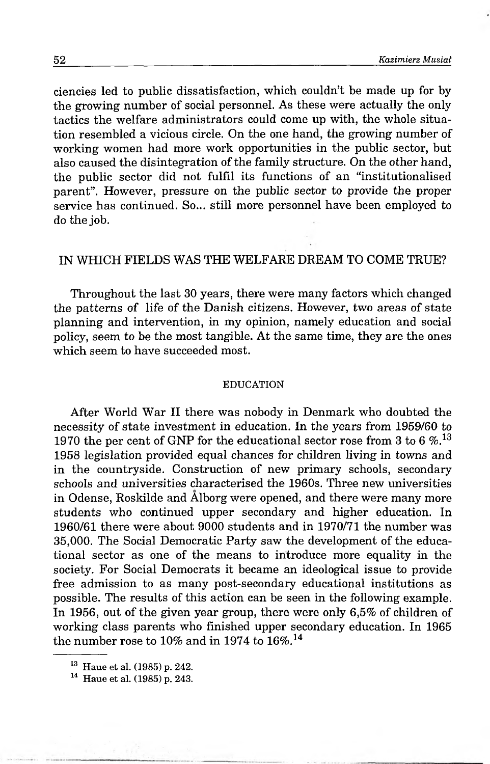ciencies led to public dissatisfaction, which couldn't be made up for by the growing number of social personnel. As these were actually the only tactics the welfare administrators could come up with, the whole situation resembled a vicious circle. On the one hand, the growing number of working women had more work opportunities in the public sector, but also caused the disintegration of the family structure. On the other hand, the public sector did not fulfil its functions of an "institutionalised parent". However, pressure on the public sector to provide the proper service has continued. So... still more personnel have been employed to do the job.

# IN WHICH FIELDS WAS THE WELFARE DREAM TO COME TRUE?

Throughout the last 30 years, there were many factors which changed the patterns of life of the Danish citizens. However, two areas of state planning and intervention, in my opinion, namely education and social policy, seem to be the most tangible. At the same time, they are the ones which seem to have succeeded most.

#### EDUCATION

After World War II there was nobody in Denmark who doubted the necessity of state investment in education. In the years from 1959/60 to 1970 the per cent of GNP for the educational sector rose from 3 to 6  $\%$ <sup>13</sup> 1958 legislation provided equal chances for children living in towns and in the countryside. Construction of new primary schools, secondary schools and universities characterised the 1960s. Three new universities in Odense, Roskilde and Alborg were opened, and there were many more students who continued upper secondary and higher education. In 1960/61 there were about 9000 students and in 1970/71 the number was 35,000. The Social Democratic Party saw the development of the educational sector as one of the means to introduce more equality in the society. For Social Democrats it became an ideological issue to provide free admission to as many post-secondary educational institutions as possible. The results of this action can be seen in the following example. In 1956, out of the given year group, there were only 6,5% of children of working class parents who finished upper secondary education. In 1965 the number rose to 10% and in 1974 to  $16\%$ .<sup>14</sup>

<sup>13</sup> Haue et al. (1985) p. 242.

<sup>14</sup> Haue et al. (1985) p. 243.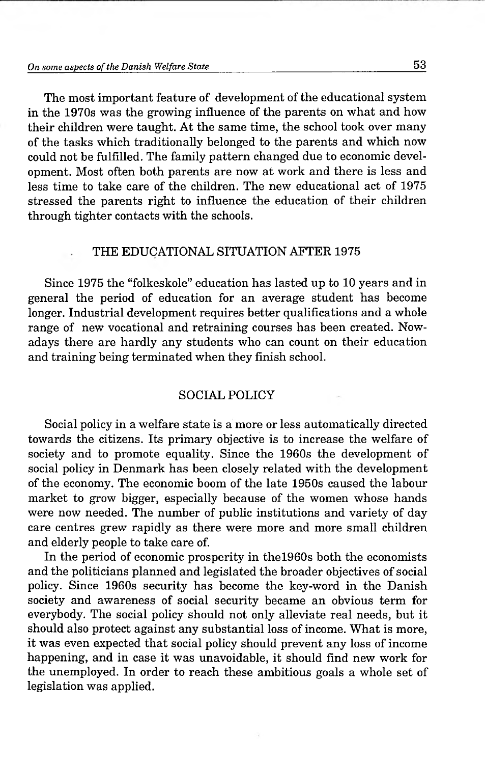### *On some aspects o f the Danish Welfare State* **53**

The most important feature of development of the educational system in the 1970s was the growing influence of the parents on what and how their children were taught. At the same time, the school took over many of the tasks which traditionally belonged to the parents and which now could not be fulfilled. The family pattern changed due to economic development. Most often both parents are now at work and there is less and less time to take care of the children. The new educational act of 1975 stressed the parents right to influence the education of their children through tighter contacts with the schools.

### THE EDUCATIONAL SITUATION AFTER 1975

Since 1975 the "folkeskole" education has lasted up to 10 years and in general the period of education for an average student has become longer. Industrial development requires better qualifications and a whole range of new vocational and retraining courses has been created. Nowadays there are hardly any students who can count on their education and training being terminated when they finish school.

### SOCIAL POLICY

Social policy in a welfare state is a more or less automatically directed towards the citizens. Its primary objective is to increase the welfare of society and to promote equality. Since the 1960s the development of social policy in Denmark has been closely related with the development of the economy. The economic boom of the late 1950s caused the labour market to grow bigger, especially because of the women whose hands were now needed. The number of public institutions and variety of day care centres grew rapidly as there were more and more small children and elderly people to take care of.

In the period of economic prosperity in thel960s both the economists and the politicians planned and legislated the broader objectives of social policy. Since 1960s security has become the key-word in the Danish society and awareness of social security became an obvious term for everybody. The social policy should not only alleviate real needs, but it should also protect against any substantial loss of income. What is more, it was even expected that social policy should prevent any loss of income happening, and in case it was unavoidable, it should find new work for the unemployed. In order to reach these ambitious goals a whole set of legislation was applied.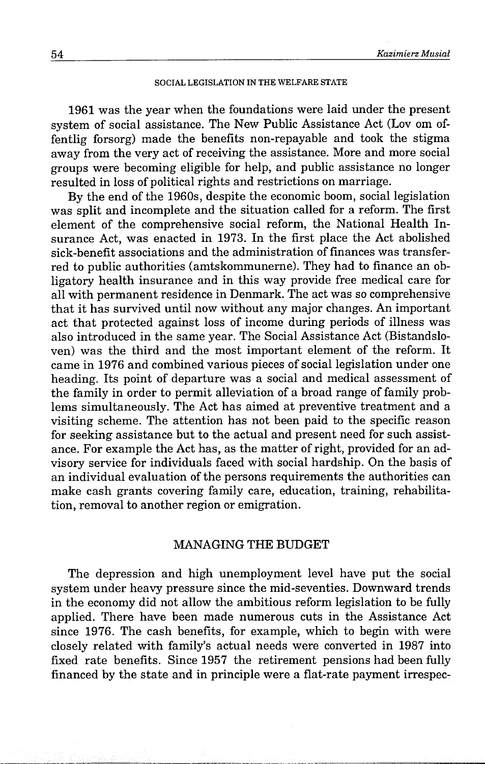#### SOCIAL LEGISLATION IN THE WELFARE STATE

1961 was the year when the foundations were laid under the present system of social assistance. The New Public Assistance Act (Lov om offentlig forsorg) made the benefits non-repayable and took the stigma away from the very act of receiving the assistance. More and more social groups were becoming eligible for help, and public assistance no longer resulted in loss of political rights and restrictions on marriage.

By the end of the 1960s, despite the economic boom, social legislation was split and incomplete and the situation called for a reform. The first element of the comprehensive social reform, the National Health Insurance Act, was enacted in 1973. In the first place the Act abolished sick-benefit associations and the administration of finances was transferred to public authorities (amtskommunerne). They had to finance an obligatory health insurance and in this way provide free medical care for all with permanent residence in Denmark. The act was so comprehensive that it has survived until now without any major changes. An important act that protected against loss of income during periods of illness was also introduced in the same year. The Social Assistance Act (Bistandsloven) was the third and the most important element of the reform. It came in 1976 and combined various pieces of social legislation under one heading. Its point of departure was a social and medical assessment of the family in order to permit alleviation of a broad range of family problems simultaneously. The Act has aimed at preventive treatment and a visiting scheme. The attention has not been paid to the specific reason for seeking assistance but to the actual and present need for such assistance. For example the Act has, as the matter of right, provided for an advisory service for individuals faced with social hardship. On the basis of an individual evaluation of the persons requirements the authorities can make cash grants covering family care, education, training, rehabilitation, removal to another region or emigration.

### MANAGING THE BUDGET

The depression and high unemployment level have put the social system under heavy pressure since the mid-seventies. Downward trends in the economy did not allow the ambitious reform legislation to be fully applied. There have been made numerous cuts in the Assistance Act since 1976. The cash benefits, for example, which to begin with were closely related with family's actual needs were converted in 1987 into fixed rate benefits. Since 1957 the retirement pensions had been fully financed by the state and in principle were a flat-rate payment irrespec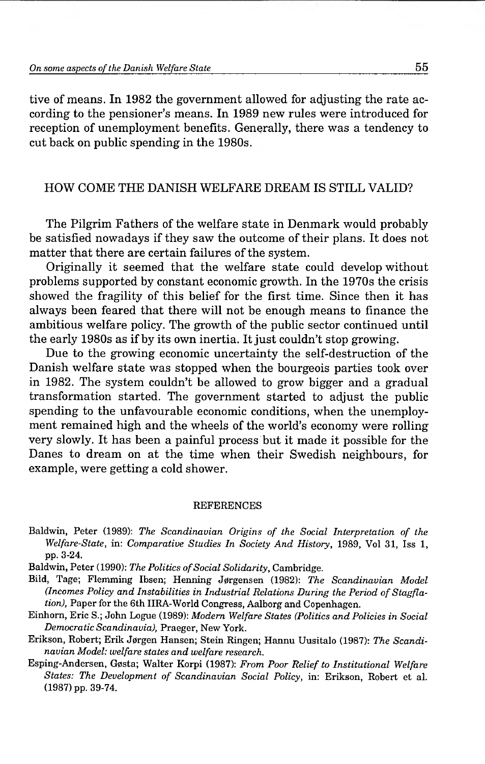tive of means. In 1982 the government allowed for adjusting the rate according to the pensioner's means. In 1989 new rules were introduced for reception of unemployment benefits. Generally, there was a tendency to cut back on public spending in the 1980s.

### HOW COME THE DANISH WELFARE DREAM IS STILL VALID?

The Pilgrim Fathers of the welfare state in Denmark would probably be satisfied nowadays if they saw the outcome of their plans. It does not matter that there are certain failures of the system.

Originally it seemed that the welfare state could develop without problems supported by constant economic growth. In the 1970s the crisis showed the fragility of this belief for the first time. Since then it has always been feared that there will not be enough means to finance the ambitious welfare policy. The growth of the public sector continued until the early 1980s as if by its own inertia. It just couldn't stop growing.

Due to the growing economic uncertainty the self-destruction of the Danish welfare state was stopped when the bourgeois parties took over in 1982. The system couldn't be allowed to grow bigger and a gradual transformation started. The government started to adjust the public spending to the unfavourable economic conditions, when the unemployment remained high and the wheels of the world's economy were rolling very slowly. It has been a painful process but it made it possible for the Danes to dream on at the time when their Swedish neighbours, for example, were getting a cold shower.

#### **REFERENCES**

- Baldwin, Peter (1989): *The Scandinavian Origins of the Social Interpretation of the Welfare-State,* in: *Comparative Studies In Society And History,* 1989, Vol 31, Iss 1, pp. 3-24.
- Baldwin, Peter (1990): The Politics of Social Solidarity, Cambridge.
- Bild, Tage; Flemming Ibsen; Henning J0rgensen (1982): *The Scandinavian Model* (Incomes Policy and Instabilities in Industrial Relations During the Period of Stagfla*tion),* Paper for the 6th IIRA-World Congress, Aalborg and Copenhagen.
- Einhorn, Eric S.; John Logue (1989): *Modem Welfare States (Politics and Policies in Social Democratic Scandinavia),* Praeger, New York.
- Erikson, Robert; Erik J0rgen Hansen; Stein Ringen; Hannu Uusitalo (1987): *The Scandinavian Model: welfare states and welfare research.*
- Esping-Andersen, G0sta; Walter Korpi (1987): *From Poor Relief to Institutional Welfare* States: The Development of Scandinavian Social Policy, in: Erikson, Robert et al. (1987) pp. 39-74.